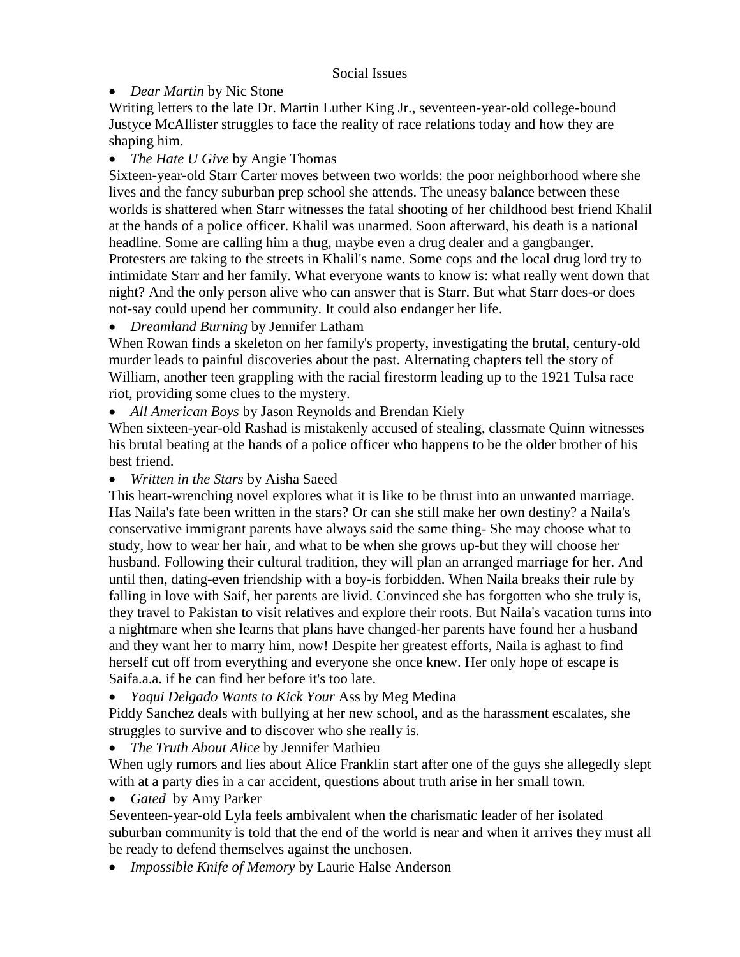## Social Issues

## *Dear Martin* by Nic Stone

Writing letters to the late Dr. Martin Luther King Jr., seventeen-year-old college-bound Justyce McAllister struggles to face the reality of race relations today and how they are shaping him.

## *The Hate U Give* by Angie Thomas

Sixteen-year-old Starr Carter moves between two worlds: the poor neighborhood where she lives and the fancy suburban prep school she attends. The uneasy balance between these worlds is shattered when Starr witnesses the fatal shooting of her childhood best friend Khalil at the hands of a police officer. Khalil was unarmed. Soon afterward, his death is a national headline. Some are calling him a thug, maybe even a drug dealer and a gangbanger. Protesters are taking to the streets in Khalil's name. Some cops and the local drug lord try to intimidate Starr and her family. What everyone wants to know is: what really went down that night? And the only person alive who can answer that is Starr. But what Starr does-or does not-say could upend her community. It could also endanger her life.

*Dreamland Burning* by Jennifer Latham

When Rowan finds a skeleton on her family's property, investigating the brutal, century-old murder leads to painful discoveries about the past. Alternating chapters tell the story of William, another teen grappling with the racial firestorm leading up to the 1921 Tulsa race riot, providing some clues to the mystery.

*All American Boys* by Jason Reynolds and Brendan Kiely

When sixteen-year-old Rashad is mistakenly accused of stealing, classmate Quinn witnesses his brutal beating at the hands of a police officer who happens to be the older brother of his best friend.

*Written in the Stars* by Aisha Saeed

This heart-wrenching novel explores what it is like to be thrust into an unwanted marriage. Has Naila's fate been written in the stars? Or can she still make her own destiny? a Naila's conservative immigrant parents have always said the same thing- She may choose what to study, how to wear her hair, and what to be when she grows up-but they will choose her husband. Following their cultural tradition, they will plan an arranged marriage for her. And until then, dating-even friendship with a boy-is forbidden. When Naila breaks their rule by falling in love with Saif, her parents are livid. Convinced she has forgotten who she truly is, they travel to Pakistan to visit relatives and explore their roots. But Naila's vacation turns into a nightmare when she learns that plans have changed-her parents have found her a husband and they want her to marry him, now! Despite her greatest efforts, Naila is aghast to find herself cut off from everything and everyone she once knew. Her only hope of escape is Saifa.a.a. if he can find her before it's too late.

*Yaqui Delgado Wants to Kick Your* Ass by Meg Medina

Piddy Sanchez deals with bullying at her new school, and as the harassment escalates, she struggles to survive and to discover who she really is.

*The Truth About Alice* by Jennifer Mathieu

When ugly rumors and lies about Alice Franklin start after one of the guys she allegedly slept with at a party dies in a car accident, questions about truth arise in her small town.

*Gated* by Amy Parker

Seventeen-year-old Lyla feels ambivalent when the charismatic leader of her isolated suburban community is told that the end of the world is near and when it arrives they must all be ready to defend themselves against the unchosen.

*Impossible Knife of Memory* by Laurie Halse Anderson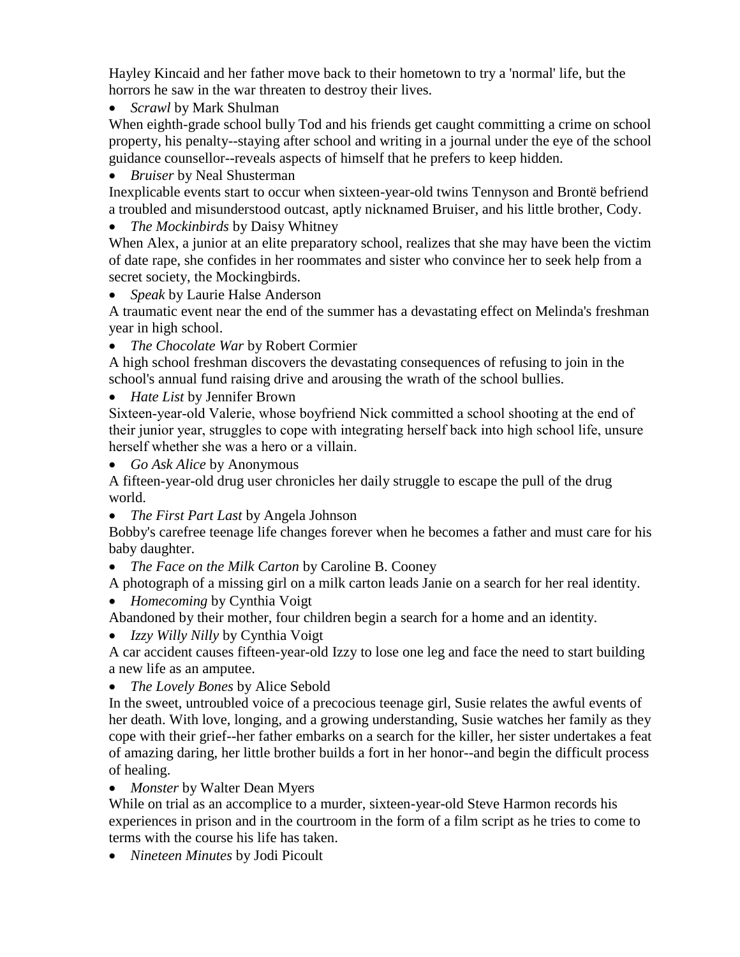Hayley Kincaid and her father move back to their hometown to try a 'normal' life, but the horrors he saw in the war threaten to destroy their lives.

*Scrawl* by Mark Shulman

When eighth-grade school bully Tod and his friends get caught committing a crime on school property, his penalty--staying after school and writing in a journal under the eye of the school guidance counsellor--reveals aspects of himself that he prefers to keep hidden.

*Bruiser* by Neal Shusterman

Inexplicable events start to occur when sixteen-year-old twins Tennyson and Brontë befriend a troubled and misunderstood outcast, aptly nicknamed Bruiser, and his little brother, Cody.

*The Mockinbirds* by Daisy Whitney

When Alex, a junior at an elite preparatory school, realizes that she may have been the victim of date rape, she confides in her roommates and sister who convince her to seek help from a secret society, the Mockingbirds.

*Speak* by Laurie Halse Anderson

A traumatic event near the end of the summer has a devastating effect on Melinda's freshman year in high school.

*The Chocolate War* by Robert Cormier

A high school freshman discovers the devastating consequences of refusing to join in the school's annual fund raising drive and arousing the wrath of the school bullies.

*Hate List* by Jennifer Brown

Sixteen-year-old Valerie, whose boyfriend Nick committed a school shooting at the end of their junior year, struggles to cope with integrating herself back into high school life, unsure herself whether she was a hero or a villain.

*Go Ask Alice* by Anonymous

A fifteen-year-old drug user chronicles her daily struggle to escape the pull of the drug world.

*The First Part Last* by Angela Johnson

Bobby's carefree teenage life changes forever when he becomes a father and must care for his baby daughter.

*The Face on the Milk Carton* by Caroline B. Cooney

A photograph of a missing girl on a milk carton leads Janie on a search for her real identity.

*Homecoming* by Cynthia Voigt

Abandoned by their mother, four children begin a search for a home and an identity.

*Izzy Willy Nilly* by Cynthia Voigt

A car accident causes fifteen-year-old Izzy to lose one leg and face the need to start building a new life as an amputee.

*The Lovely Bones* by Alice Sebold

In the sweet, untroubled voice of a precocious teenage girl, Susie relates the awful events of her death. With love, longing, and a growing understanding, Susie watches her family as they cope with their grief--her father embarks on a search for the killer, her sister undertakes a feat of amazing daring, her little brother builds a fort in her honor--and begin the difficult process of healing.

*Monster* by Walter Dean Myers

While on trial as an accomplice to a murder, sixteen-year-old Steve Harmon records his experiences in prison and in the courtroom in the form of a film script as he tries to come to terms with the course his life has taken.

*Nineteen Minutes* by Jodi Picoult